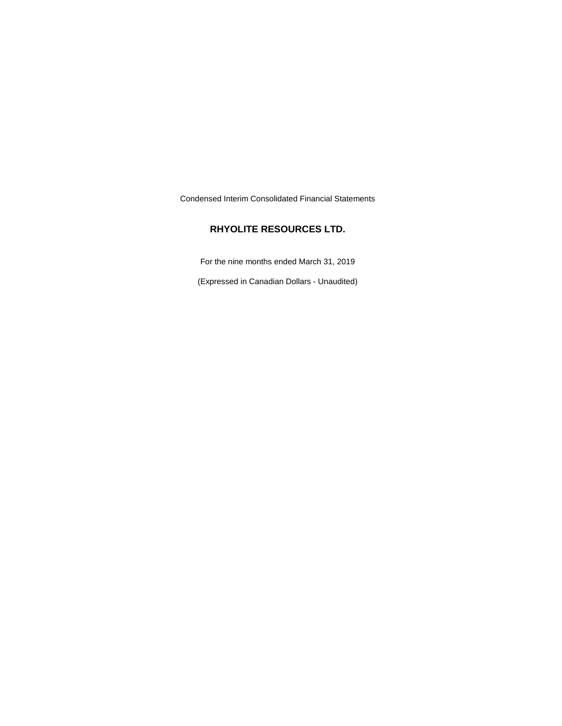Condensed Interim Consolidated Financial Statements

# **RHYOLITE RESOURCES LTD.**

For the nine months ended March 31, 2019

(Expressed in Canadian Dollars - Unaudited)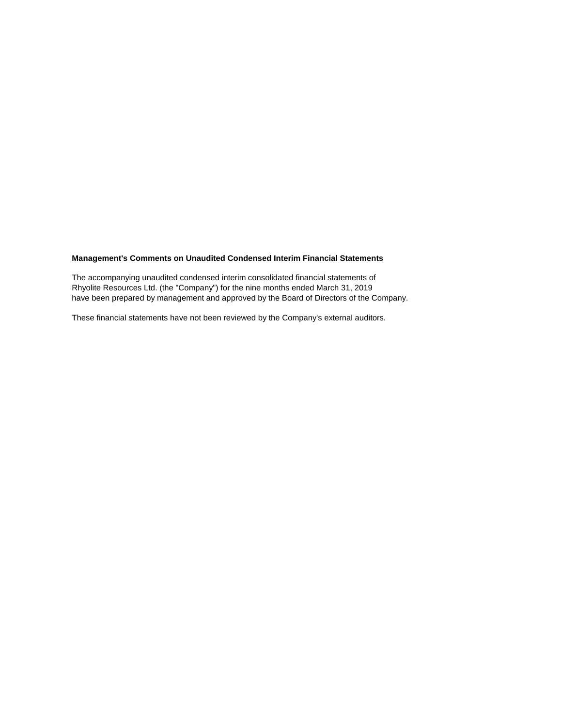## **Management's Comments on Unaudited Condensed Interim Financial Statements**

The accompanying unaudited condensed interim consolidated financial statements of Rhyolite Resources Ltd. (the "Company") for the nine months ended March 31, 2019 have been prepared by management and approved by the Board of Directors of the Company.

These financial statements have not been reviewed by the Company's external auditors.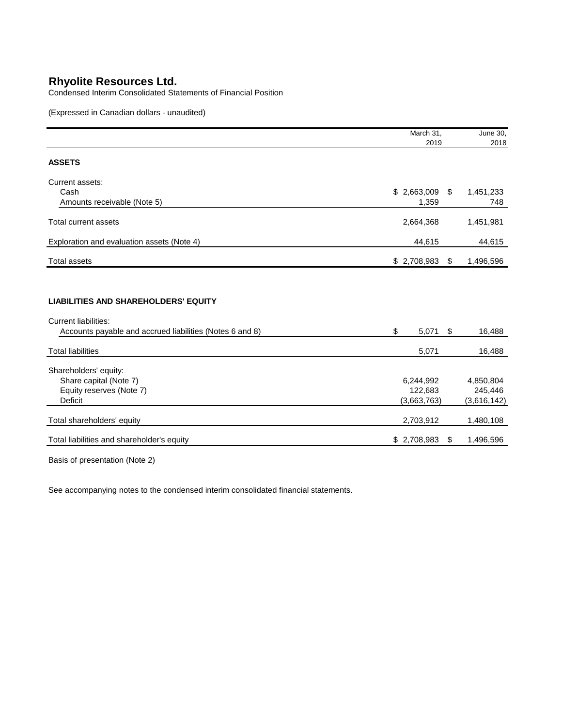Condensed Interim Consolidated Statements of Financial Position

(Expressed in Canadian dollars - unaudited)

|                                                                                                                                        | March 31,   | June 30,        |
|----------------------------------------------------------------------------------------------------------------------------------------|-------------|-----------------|
|                                                                                                                                        | 2019        | 2018            |
| <b>ASSETS</b>                                                                                                                          |             |                 |
| Current assets:                                                                                                                        |             |                 |
| Cash                                                                                                                                   | \$2,663,009 | \$<br>1,451,233 |
| Amounts receivable (Note 5)                                                                                                            | 1,359       | 748             |
| <b>Total current assets</b>                                                                                                            | 2,664,368   | 1,451,981       |
| Exploration and evaluation assets (Note 4)                                                                                             | 44,615      | 44,615          |
| <b>Total assets</b>                                                                                                                    | \$2,708,983 | \$<br>1,496,596 |
| <b>LIABILITIES AND SHAREHOLDERS' EQUITY</b><br><b>Current liabilities:</b><br>Accounts payable and accrued liabilities (Notes 6 and 8) | \$<br>5,071 | \$<br>16,488    |
| <b>Total liabilities</b>                                                                                                               | 5,071       | 16,488          |
| Shareholders' equity:                                                                                                                  |             |                 |
| Share capital (Note 7)                                                                                                                 | 6,244,992   | 4,850,804       |
| Equity reserves (Note 7)                                                                                                               | 122,683     | 245,446         |
| <b>Deficit</b>                                                                                                                         | (3,663,763) | (3,616,142)     |
| Total shareholders' equity                                                                                                             | 2,703,912   | 1,480,108       |
| Total liabilities and shareholder's equity                                                                                             | \$2,708,983 | \$<br>1,496,596 |

Basis of presentation (Note 2)

See accompanying notes to the condensed interim consolidated financial statements.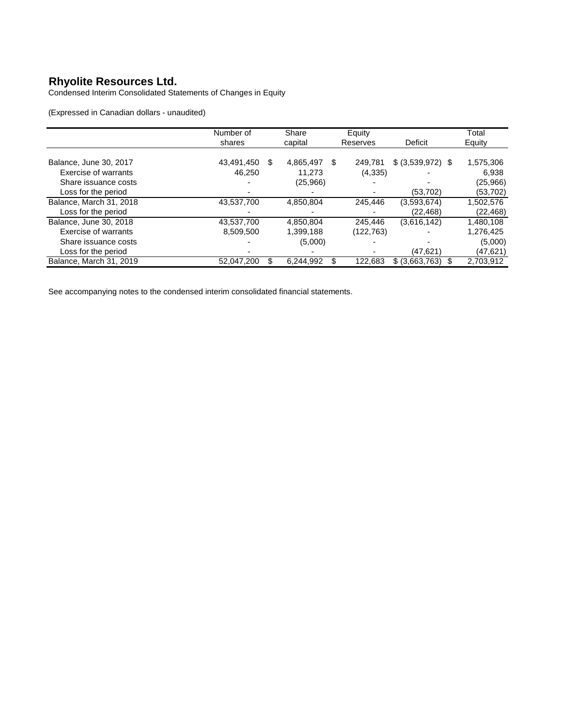Condensed Interim Consolidated Statements of Changes in Equity

(Expressed in Canadian dollars - unaudited)

|                         | Number of        | Share     | Equity       |                   | Total     |
|-------------------------|------------------|-----------|--------------|-------------------|-----------|
|                         | shares           | capital   | Reserves     | Deficit           | Equity    |
|                         |                  |           |              |                   |           |
| Balance, June 30, 2017  | \$<br>43,491,450 | 4,865,497 | S<br>249,781 | \$ (3,539,972) \$ | 1,575,306 |
| Exercise of warrants    | 46.250           | 11.273    | (4,335)      |                   | 6.938     |
| Share issuance costs    |                  | (25,966)  |              |                   | (25,966)  |
| Loss for the period     |                  |           |              | (53, 702)         | (53,702)  |
| Balance, March 31, 2018 | 43,537,700       | 4,850,804 | 245.446      | (3,593,674)       | 1,502,576 |
| Loss for the period     |                  |           |              | (22, 468)         | (22,468)  |
| Balance, June 30, 2018  | 43,537,700       | 4,850,804 | 245.446      | (3,616,142)       | 1,480,108 |
| Exercise of warrants    | 8,509,500        | 1,399,188 | (122,763)    |                   | 1,276,425 |
| Share issuance costs    |                  | (5,000)   |              |                   | (5,000)   |
| Loss for the period     |                  |           |              | (47,621)          | (47,621)  |
| Balance, March 31, 2019 | 52,047,200       | 6,244,992 | 122.683      | \$ (3,663,763)    | 2,703,912 |

See accompanying notes to the condensed interim consolidated financial statements.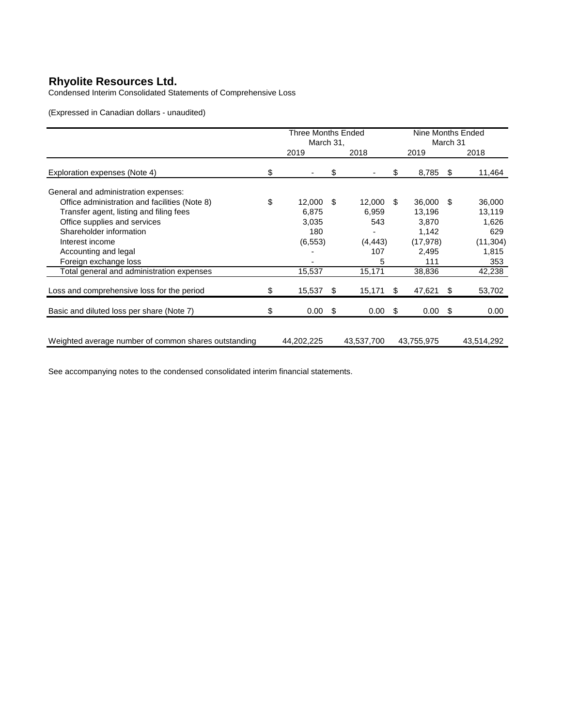Condensed Interim Consolidated Statements of Comprehensive Loss

(Expressed in Canadian dollars - unaudited)

|                                                      |    | <b>Three Months Ended</b><br>March 31, |      |            | Nine Months Ended<br>March 31 |            |      |            |
|------------------------------------------------------|----|----------------------------------------|------|------------|-------------------------------|------------|------|------------|
|                                                      |    | 2019                                   |      | 2018       |                               | 2019       |      | 2018       |
| Exploration expenses (Note 4)                        | \$ |                                        | \$   |            | \$                            | 8,785      | S    | 11,464     |
| General and administration expenses:                 |    |                                        |      |            |                               |            |      |            |
| Office administration and facilities (Note 8)        | \$ | 12,000                                 | \$   | 12.000     | \$.                           | 36,000     | \$.  | 36,000     |
| Transfer agent, listing and filing fees              |    | 6,875                                  |      | 6,959      |                               | 13,196     |      | 13,119     |
| Office supplies and services                         |    | 3,035                                  |      | 543        |                               | 3,870      |      | 1,626      |
| Shareholder information                              |    | 180                                    |      |            |                               | 1,142      |      | 629        |
| Interest income                                      |    | (6, 553)                               |      | (4, 443)   |                               | (17, 978)  |      | (11, 304)  |
| Accounting and legal                                 |    |                                        |      | 107        |                               | 2,495      |      | 1,815      |
| Foreign exchange loss                                |    |                                        |      | 5          |                               | 111        |      | 353        |
| Total general and administration expenses            |    | 15,537                                 |      | 15,171     |                               | 38,836     |      | 42,238     |
| Loss and comprehensive loss for the period           | \$ | 15,537                                 | \$   | 15,171     | S                             | 47,621     | \$   | 53,702     |
| Basic and diluted loss per share (Note 7)            | S  | 0.00                                   | - \$ | 0.00       | -S                            | 0.00       | - \$ | 0.00       |
|                                                      |    |                                        |      |            |                               |            |      |            |
| Weighted average number of common shares outstanding |    | 44,202,225                             |      | 43,537,700 |                               | 43,755,975 |      | 43,514,292 |

See accompanying notes to the condensed consolidated interim financial statements.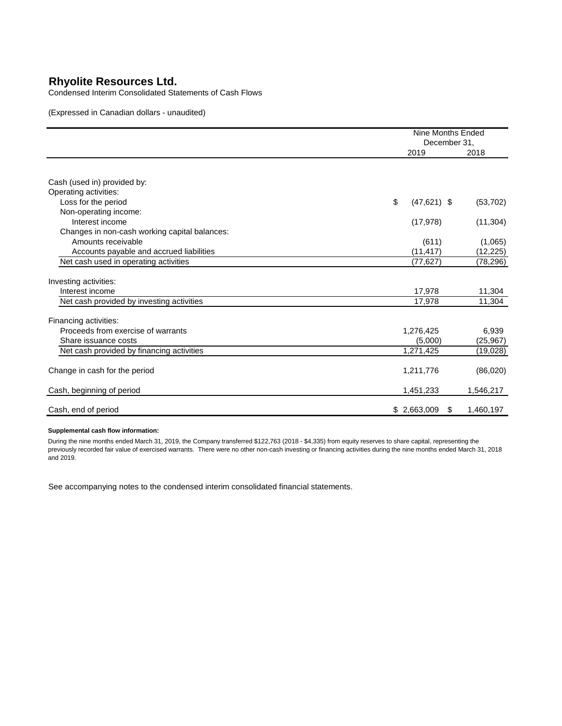Condensed Interim Consolidated Statements of Cash Flows

(Expressed in Canadian dollars - unaudited)

|                                                      |                     | <b>Nine Months Ended</b><br>December 31, |
|------------------------------------------------------|---------------------|------------------------------------------|
|                                                      | 2019                | 2018                                     |
|                                                      |                     |                                          |
| Cash (used in) provided by:<br>Operating activities: |                     |                                          |
| Loss for the period                                  | \$<br>$(47,621)$ \$ | (53, 702)                                |
| Non-operating income:                                |                     |                                          |
| Interest income                                      | (17, 978)           | (11, 304)                                |
| Changes in non-cash working capital balances:        |                     |                                          |
| Amounts receivable                                   | (611)               | (1,065)                                  |
| Accounts payable and accrued liabilities             | (11, 417)           | (12, 225)                                |
| Net cash used in operating activities                | (77,627)            | (78, 296)                                |
| Investing activities:                                |                     |                                          |
| Interest income                                      | 17,978              | 11,304                                   |
| Net cash provided by investing activities            | 17,978              | 11,304                                   |
| Financing activities:                                |                     |                                          |
| Proceeds from exercise of warrants                   | 1,276,425           | 6,939                                    |
| Share issuance costs                                 | (5,000)             | (25, 967)                                |
| Net cash provided by financing activities            | 1,271,425           | (19,028)                                 |
| Change in cash for the period                        | 1,211,776           | (86,020)                                 |
| Cash, beginning of period                            | 1,451,233           | 1,546,217                                |
| Cash, end of period                                  | \$2,663,009         | 1,460,197<br>\$                          |

#### **Supplemental cash flow information:**

During the nine months ended March 31, 2019, the Company transferred \$122,763 (2018 - \$4,335) from equity reserves to share capital, representing the previously recorded fair value of exercised warrants. There were no other non-cash investing or financing activities during the nine months ended March 31, 2018 and 2019.

See accompanying notes to the condensed interim consolidated financial statements.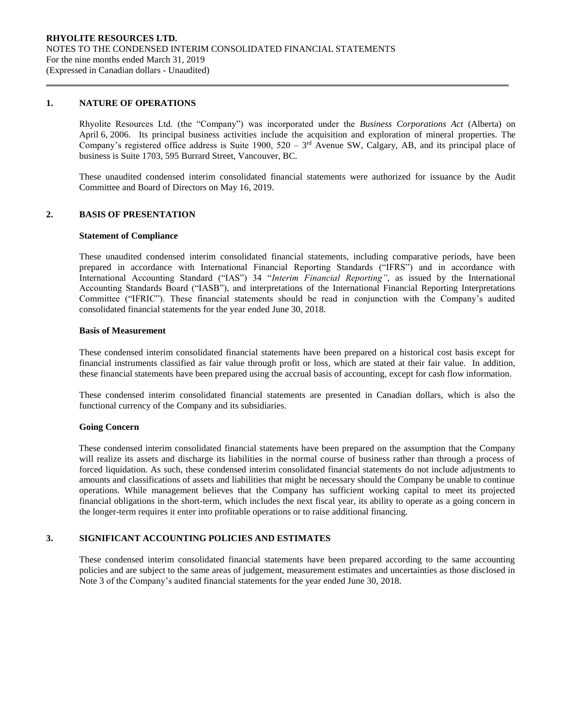### **1. NATURE OF OPERATIONS**

Rhyolite Resources Ltd. (the "Company") was incorporated under the *Business Corporations Act* (Alberta) on April 6, 2006. Its principal business activities include the acquisition and exploration of mineral properties. The Company's registered office address is Suite 1900,  $520 - 3<sup>rd</sup>$  Avenue SW, Calgary, AB, and its principal place of business is Suite 1703, 595 Burrard Street, Vancouver, BC.

These unaudited condensed interim consolidated financial statements were authorized for issuance by the Audit Committee and Board of Directors on May 16, 2019.

### **2. BASIS OF PRESENTATION**

### **Statement of Compliance**

These unaudited condensed interim consolidated financial statements, including comparative periods, have been prepared in accordance with International Financial Reporting Standards ("IFRS") and in accordance with International Accounting Standard ("IAS") 34 "*Interim Financial Reporting"*, as issued by the International Accounting Standards Board ("IASB"), and interpretations of the International Financial Reporting Interpretations Committee ("IFRIC"). These financial statements should be read in conjunction with the Company's audited consolidated financial statements for the year ended June 30, 2018.

### **Basis of Measurement**

These condensed interim consolidated financial statements have been prepared on a historical cost basis except for financial instruments classified as fair value through profit or loss, which are stated at their fair value. In addition, these financial statements have been prepared using the accrual basis of accounting, except for cash flow information.

These condensed interim consolidated financial statements are presented in Canadian dollars, which is also the functional currency of the Company and its subsidiaries.

#### **Going Concern**

These condensed interim consolidated financial statements have been prepared on the assumption that the Company will realize its assets and discharge its liabilities in the normal course of business rather than through a process of forced liquidation. As such, these condensed interim consolidated financial statements do not include adjustments to amounts and classifications of assets and liabilities that might be necessary should the Company be unable to continue operations. While management believes that the Company has sufficient working capital to meet its projected financial obligations in the short-term, which includes the next fiscal year, its ability to operate as a going concern in the longer-term requires it enter into profitable operations or to raise additional financing.

# **3. SIGNIFICANT ACCOUNTING POLICIES AND ESTIMATES**

These condensed interim consolidated financial statements have been prepared according to the same accounting policies and are subject to the same areas of judgement, measurement estimates and uncertainties as those disclosed in Note 3 of the Company's audited financial statements for the year ended June 30, 2018.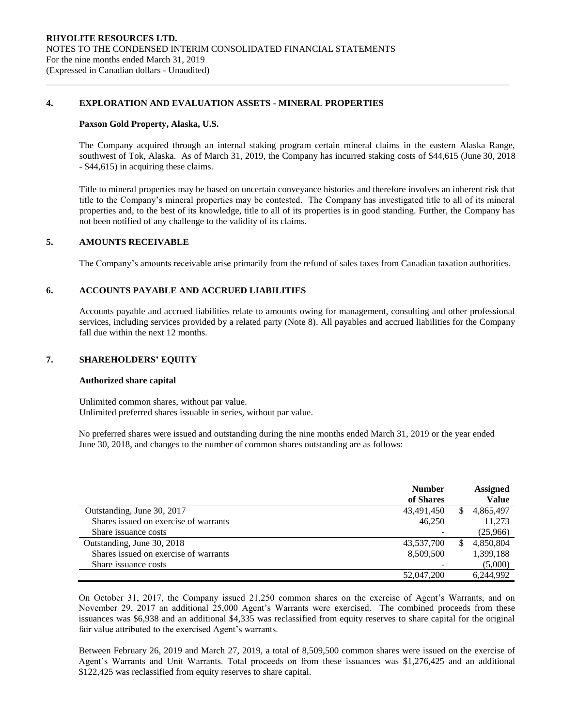## **4. EXPLORATION AND EVALUATION ASSETS - MINERAL PROPERTIES**

### **Paxson Gold Property, Alaska, U.S.**

The Company acquired through an internal staking program certain mineral claims in the eastern Alaska Range, southwest of Tok, Alaska. As of March 31, 2019, the Company has incurred staking costs of \$44,615 (June 30, 2018 - \$44,615) in acquiring these claims.

Title to mineral properties may be based on uncertain conveyance histories and therefore involves an inherent risk that title to the Company's mineral properties may be contested. The Company has investigated title to all of its mineral properties and, to the best of its knowledge, title to all of its properties is in good standing. Further, the Company has not been notified of any challenge to the validity of its claims.

## **5. AMOUNTS RECEIVABLE**

The Company's amounts receivable arise primarily from the refund of sales taxes from Canadian taxation authorities.

### **6. ACCOUNTS PAYABLE AND ACCRUED LIABILITIES**

Accounts payable and accrued liabilities relate to amounts owing for management, consulting and other professional services, including services provided by a related party (Note 8). All payables and accrued liabilities for the Company fall due within the next 12 months.

### **7. SHAREHOLDERS' EQUITY**

### **Authorized share capital**

Unlimited common shares, without par value. Unlimited preferred shares issuable in series, without par value.

No preferred shares were issued and outstanding during the nine months ended March 31, 2019 or the year ended June 30, 2018, and changes to the number of common shares outstanding are as follows:

|                                       | <b>Number</b> |    | <b>Assigned</b> |
|---------------------------------------|---------------|----|-----------------|
|                                       | of Shares     |    | Value           |
| Outstanding, June 30, 2017            | 43,491,450    | S. | 4,865,497       |
| Shares issued on exercise of warrants | 46,250        |    | 11,273          |
| Share issuance costs                  |               |    | (25,966)        |
| Outstanding, June 30, 2018            | 43,537,700    |    | 4,850,804       |
| Shares issued on exercise of warrants | 8,509,500     |    | 1,399,188       |
| Share issuance costs                  |               |    | (5,000)         |
|                                       | 52,047,200    |    | 6.244.992       |

On October 31, 2017, the Company issued 21,250 common shares on the exercise of Agent's Warrants, and on November 29, 2017 an additional 25,000 Agent's Warrants were exercised. The combined proceeds from these issuances was \$6,938 and an additional \$4,335 was reclassified from equity reserves to share capital for the original fair value attributed to the exercised Agent's warrants.

Between February 26, 2019 and March 27, 2019, a total of 8,509,500 common shares were issued on the exercise of Agent's Warrants and Unit Warrants. Total proceeds on from these issuances was \$1,276,425 and an additional \$122,425 was reclassified from equity reserves to share capital.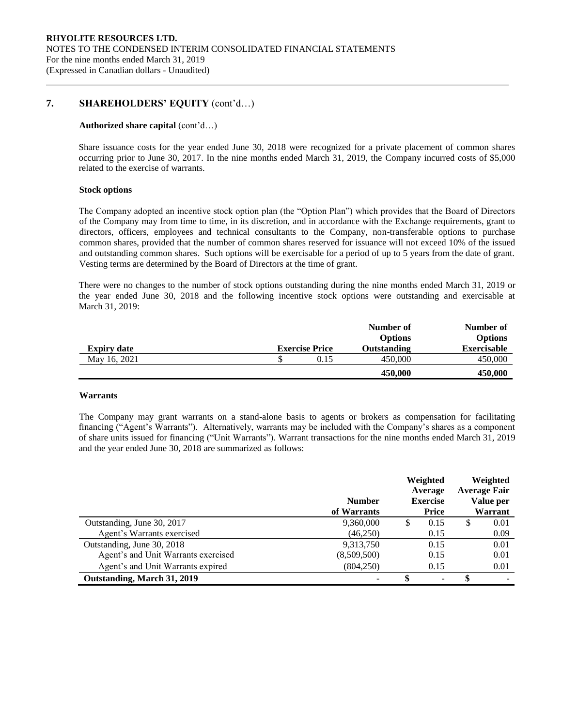# **7. SHAREHOLDERS' EQUITY** (cont'd…)

### **Authorized share capital** (cont'd…)

Share issuance costs for the year ended June 30, 2018 were recognized for a private placement of common shares occurring prior to June 30, 2017. In the nine months ended March 31, 2019, the Company incurred costs of \$5,000 related to the exercise of warrants.

### **Stock options**

The Company adopted an incentive stock option plan (the "Option Plan") which provides that the Board of Directors of the Company may from time to time, in its discretion, and in accordance with the Exchange requirements, grant to directors, officers, employees and technical consultants to the Company, non-transferable options to purchase common shares, provided that the number of common shares reserved for issuance will not exceed 10% of the issued and outstanding common shares. Such options will be exercisable for a period of up to 5 years from the date of grant. Vesting terms are determined by the Board of Directors at the time of grant.

There were no changes to the number of stock options outstanding during the nine months ended March 31, 2019 or the year ended June 30, 2018 and the following incentive stock options were outstanding and exercisable at March 31, 2019:

|                    |                       | Number of          | Number of          |
|--------------------|-----------------------|--------------------|--------------------|
|                    |                       | <b>Options</b>     | <b>Options</b>     |
| <b>Expiry date</b> | <b>Exercise Price</b> | <b>Outstanding</b> | <b>Exercisable</b> |
| May 16, 2021       | 0.15                  | 450,000            | 450,000            |
|                    |                       | 450,000            | 450,000            |

#### **Warrants**

The Company may grant warrants on a stand-alone basis to agents or brokers as compensation for facilitating financing ("Agent's Warrants"). Alternatively, warrants may be included with the Company's shares as a component of share units issued for financing ("Unit Warrants"). Warrant transactions for the nine months ended March 31, 2019 and the year ended June 30, 2018 are summarized as follows:

|                                     | <b>Number</b><br>of Warrants |   | Weighted<br>Average<br><b>Exercise</b><br><b>Price</b> |   | Weighted<br><b>Average Fair</b><br>Value per<br>Warrant |
|-------------------------------------|------------------------------|---|--------------------------------------------------------|---|---------------------------------------------------------|
| Outstanding, June 30, 2017          | 9,360,000                    | S | 0.15                                                   | S | 0.01                                                    |
| Agent's Warrants exercised          | (46,250)                     |   | 0.15                                                   |   | 0.09                                                    |
| Outstanding, June 30, 2018          | 9,313,750                    |   | 0.15                                                   |   | 0.01                                                    |
| Agent's and Unit Warrants exercised | (8,509,500)                  |   | 0.15                                                   |   | 0.01                                                    |
| Agent's and Unit Warrants expired   | (804, 250)                   |   | 0.15                                                   |   | 0.01                                                    |
| Outstanding, March 31, 2019         |                              |   | ٠                                                      |   |                                                         |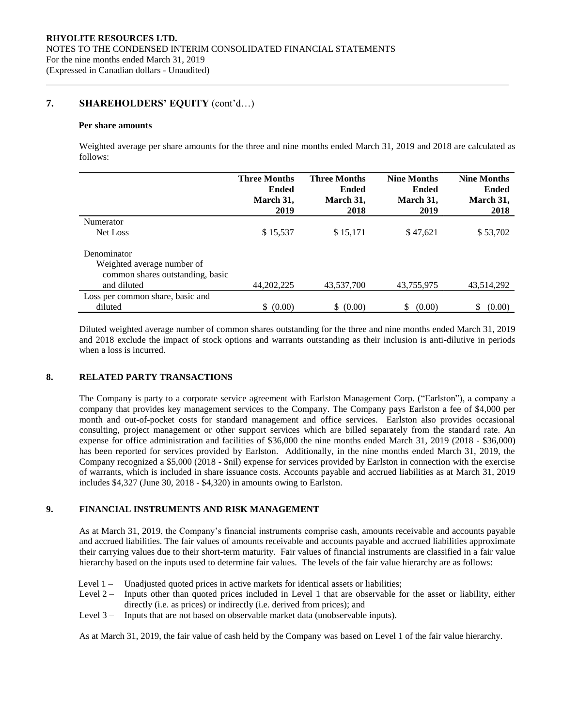# **7. SHAREHOLDERS' EQUITY** (cont'd…)

### **Per share amounts**

Weighted average per share amounts for the three and nine months ended March 31, 2019 and 2018 are calculated as follows:

|                                  | <b>Three Months</b> | <b>Three Months</b> | <b>Nine Months</b> | <b>Nine Months</b> |
|----------------------------------|---------------------|---------------------|--------------------|--------------------|
|                                  | <b>Ended</b>        | Ended               | Ended              | <b>Ended</b>       |
|                                  | March 31,           | March 31,           | March 31,          | March 31,          |
|                                  | 2019                | 2018                | 2019               | 2018               |
| Numerator                        |                     |                     |                    |                    |
| Net Loss                         | \$15,537            | \$15,171            | \$47,621           | \$53,702           |
| Denominator                      |                     |                     |                    |                    |
| Weighted average number of       |                     |                     |                    |                    |
| common shares outstanding, basic |                     |                     |                    |                    |
| and diluted                      | 44, 202, 225        | 43,537,700          | 43,755,975         | 43.514.292         |
| Loss per common share, basic and |                     |                     |                    |                    |
| diluted                          | \$ (0.00)           | \$ (0.00)           | S.<br>(0.00)       | S<br>(0.00)        |

Diluted weighted average number of common shares outstanding for the three and nine months ended March 31, 2019 and 2018 exclude the impact of stock options and warrants outstanding as their inclusion is anti-dilutive in periods when a loss is incurred.

## **8. RELATED PARTY TRANSACTIONS**

The Company is party to a corporate service agreement with Earlston Management Corp. ("Earlston"), a company a company that provides key management services to the Company. The Company pays Earlston a fee of \$4,000 per month and out-of-pocket costs for standard management and office services. Earlston also provides occasional consulting, project management or other support services which are billed separately from the standard rate. An expense for office administration and facilities of \$36,000 the nine months ended March 31, 2019 (2018 - \$36,000) has been reported for services provided by Earlston. Additionally, in the nine months ended March 31, 2019, the Company recognized a \$5,000 (2018 - \$nil) expense for services provided by Earlston in connection with the exercise of warrants, which is included in share issuance costs. Accounts payable and accrued liabilities as at March 31, 2019 includes \$4,327 (June 30, 2018 - \$4,320) in amounts owing to Earlston.

### **9. FINANCIAL INSTRUMENTS AND RISK MANAGEMENT**

As at March 31, 2019, the Company's financial instruments comprise cash, amounts receivable and accounts payable and accrued liabilities. The fair values of amounts receivable and accounts payable and accrued liabilities approximate their carrying values due to their short-term maturity. Fair values of financial instruments are classified in a fair value hierarchy based on the inputs used to determine fair values. The levels of the fair value hierarchy are as follows:

- Level 1 Unadjusted quoted prices in active markets for identical assets or liabilities;
- Level 2 Inputs other than quoted prices included in Level 1 that are observable for the asset or liability, either directly (i.e. as prices) or indirectly (i.e. derived from prices); and
- Level 3 Inputs that are not based on observable market data (unobservable inputs).

As at March 31, 2019, the fair value of cash held by the Company was based on Level 1 of the fair value hierarchy.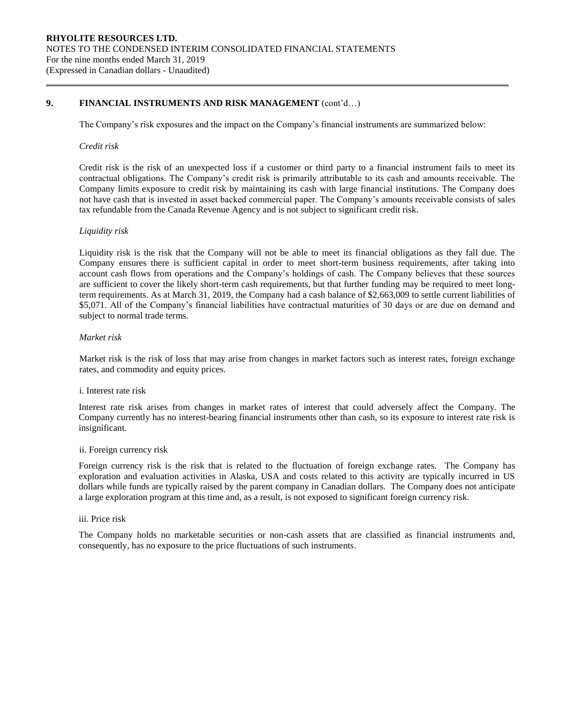## **9. FINANCIAL INSTRUMENTS AND RISK MANAGEMENT** (cont'd…)

The Company's risk exposures and the impact on the Company's financial instruments are summarized below:

### *Credit risk*

Credit risk is the risk of an unexpected loss if a customer or third party to a financial instrument fails to meet its contractual obligations. The Company's credit risk is primarily attributable to its cash and amounts receivable. The Company limits exposure to credit risk by maintaining its cash with large financial institutions. The Company does not have cash that is invested in asset backed commercial paper. The Company's amounts receivable consists of sales tax refundable from the Canada Revenue Agency and is not subject to significant credit risk.

## *Liquidity risk*

Liquidity risk is the risk that the Company will not be able to meet its financial obligations as they fall due. The Company ensures there is sufficient capital in order to meet short-term business requirements, after taking into account cash flows from operations and the Company's holdings of cash. The Company believes that these sources are sufficient to cover the likely short-term cash requirements, but that further funding may be required to meet longterm requirements. As at March 31, 2019, the Company had a cash balance of \$2,663,009 to settle current liabilities of \$5,071. All of the Company's financial liabilities have contractual maturities of 30 days or are due on demand and subject to normal trade terms.

### *Market risk*

Market risk is the risk of loss that may arise from changes in market factors such as interest rates, foreign exchange rates, and commodity and equity prices.

### i. Interest rate risk

Interest rate risk arises from changes in market rates of interest that could adversely affect the Company. The Company currently has no interest-bearing financial instruments other than cash, so its exposure to interest rate risk is insignificant.

### ii. Foreign currency risk

Foreign currency risk is the risk that is related to the fluctuation of foreign exchange rates. The Company has exploration and evaluation activities in Alaska, USA and costs related to this activity are typically incurred in US dollars while funds are typically raised by the parent company in Canadian dollars. The Company does not anticipate a large exploration program at this time and, as a result, is not exposed to significant foreign currency risk.

### iii. Price risk

The Company holds no marketable securities or non-cash assets that are classified as financial instruments and, consequently, has no exposure to the price fluctuations of such instruments.